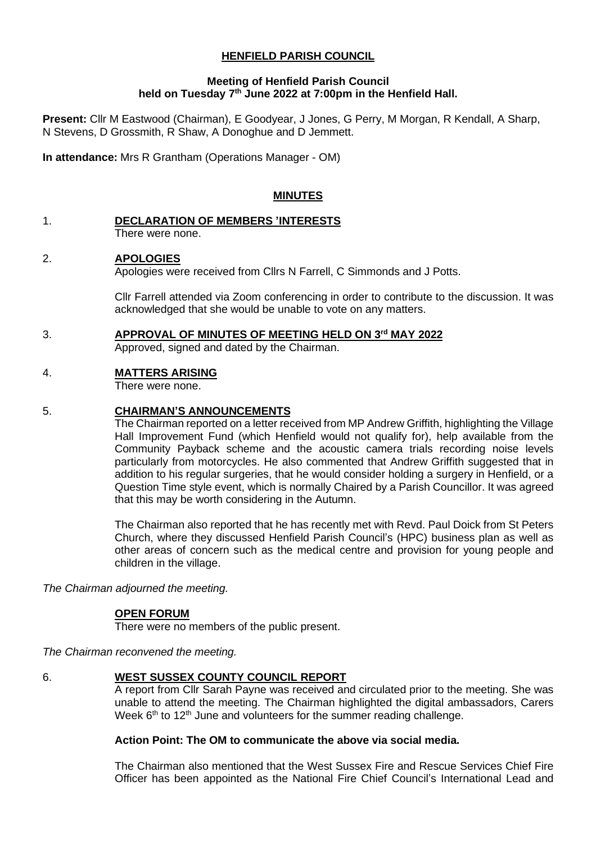# **HENFIELD PARISH COUNCIL**

### **Meeting of Henfield Parish Council held on Tuesday 7 th June 2022 at 7:00pm in the Henfield Hall.**

**Present:** Cllr M Eastwood (Chairman), E Goodyear, J Jones, G Perry, M Morgan, R Kendall, A Sharp, N Stevens, D Grossmith, R Shaw, A Donoghue and D Jemmett.

**In attendance:** Mrs R Grantham (Operations Manager - OM)

## **MINUTES**

#### 1. **DECLARATION OF MEMBERS 'INTERESTS** There were none.

# 2. **APOLOGIES**

Apologies were received from Cllrs N Farrell, C Simmonds and J Potts.

Cllr Farrell attended via Zoom conferencing in order to contribute to the discussion. It was acknowledged that she would be unable to vote on any matters.

### 3. **APPROVAL OF MINUTES OF MEETING HELD ON 3 rd MAY 2022**

Approved, signed and dated by the Chairman.

# 4. **MATTERS ARISING**

There were none.

# 5. **CHAIRMAN'S ANNOUNCEMENTS**

The Chairman reported on a letter received from MP Andrew Griffith, highlighting the Village Hall Improvement Fund (which Henfield would not qualify for), help available from the Community Payback scheme and the acoustic camera trials recording noise levels particularly from motorcycles. He also commented that Andrew Griffith suggested that in addition to his regular surgeries, that he would consider holding a surgery in Henfield, or a Question Time style event, which is normally Chaired by a Parish Councillor. It was agreed that this may be worth considering in the Autumn.

The Chairman also reported that he has recently met with Revd. Paul Doick from St Peters Church, where they discussed Henfield Parish Council's (HPC) business plan as well as other areas of concern such as the medical centre and provision for young people and children in the village.

*The Chairman adjourned the meeting.*

### **OPEN FORUM**

There were no members of the public present.

*The Chairman reconvened the meeting.*

### 6. **WEST SUSSEX COUNTY COUNCIL REPORT**

A report from Cllr Sarah Payne was received and circulated prior to the meeting. She was unable to attend the meeting. The Chairman highlighted the digital ambassadors, Carers Week  $6<sup>th</sup>$  to 12<sup>th</sup> June and volunteers for the summer reading challenge.

### **Action Point: The OM to communicate the above via social media.**

The Chairman also mentioned that the West Sussex Fire and Rescue Services Chief Fire Officer has been appointed as the National Fire Chief Council's International Lead and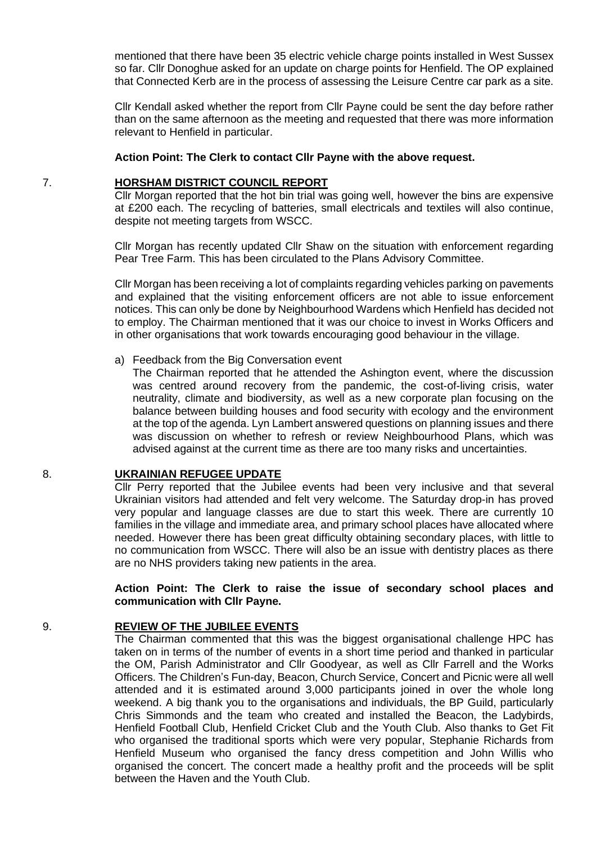mentioned that there have been 35 electric vehicle charge points installed in West Sussex so far. Cllr Donoghue asked for an update on charge points for Henfield. The OP explained that Connected Kerb are in the process of assessing the Leisure Centre car park as a site.

Cllr Kendall asked whether the report from Cllr Payne could be sent the day before rather than on the same afternoon as the meeting and requested that there was more information relevant to Henfield in particular.

#### **Action Point: The Clerk to contact Cllr Payne with the above request.**

#### 7. **HORSHAM DISTRICT COUNCIL REPORT**

Cllr Morgan reported that the hot bin trial was going well, however the bins are expensive at £200 each. The recycling of batteries, small electricals and textiles will also continue, despite not meeting targets from WSCC.

Cllr Morgan has recently updated Cllr Shaw on the situation with enforcement regarding Pear Tree Farm. This has been circulated to the Plans Advisory Committee.

Cllr Morgan has been receiving a lot of complaints regarding vehicles parking on pavements and explained that the visiting enforcement officers are not able to issue enforcement notices. This can only be done by Neighbourhood Wardens which Henfield has decided not to employ. The Chairman mentioned that it was our choice to invest in Works Officers and in other organisations that work towards encouraging good behaviour in the village.

#### a) Feedback from the Big Conversation event

The Chairman reported that he attended the Ashington event, where the discussion was centred around recovery from the pandemic, the cost-of-living crisis, water neutrality, climate and biodiversity, as well as a new corporate plan focusing on the balance between building houses and food security with ecology and the environment at the top of the agenda. Lyn Lambert answered questions on planning issues and there was discussion on whether to refresh or review Neighbourhood Plans, which was advised against at the current time as there are too many risks and uncertainties.

### 8. **UKRAINIAN REFUGEE UPDATE**

Cllr Perry reported that the Jubilee events had been very inclusive and that several Ukrainian visitors had attended and felt very welcome. The Saturday drop-in has proved very popular and language classes are due to start this week. There are currently 10 families in the village and immediate area, and primary school places have allocated where needed. However there has been great difficulty obtaining secondary places, with little to no communication from WSCC. There will also be an issue with dentistry places as there are no NHS providers taking new patients in the area.

#### **Action Point: The Clerk to raise the issue of secondary school places and communication with Cllr Payne.**

#### 9. **REVIEW OF THE JUBILEE EVENTS**

The Chairman commented that this was the biggest organisational challenge HPC has taken on in terms of the number of events in a short time period and thanked in particular the OM, Parish Administrator and Cllr Goodyear, as well as Cllr Farrell and the Works Officers. The Children's Fun-day, Beacon, Church Service, Concert and Picnic were all well attended and it is estimated around 3,000 participants joined in over the whole long weekend. A big thank you to the organisations and individuals, the BP Guild, particularly Chris Simmonds and the team who created and installed the Beacon, the Ladybirds, Henfield Football Club, Henfield Cricket Club and the Youth Club. Also thanks to Get Fit who organised the traditional sports which were very popular, Stephanie Richards from Henfield Museum who organised the fancy dress competition and John Willis who organised the concert. The concert made a healthy profit and the proceeds will be split between the Haven and the Youth Club.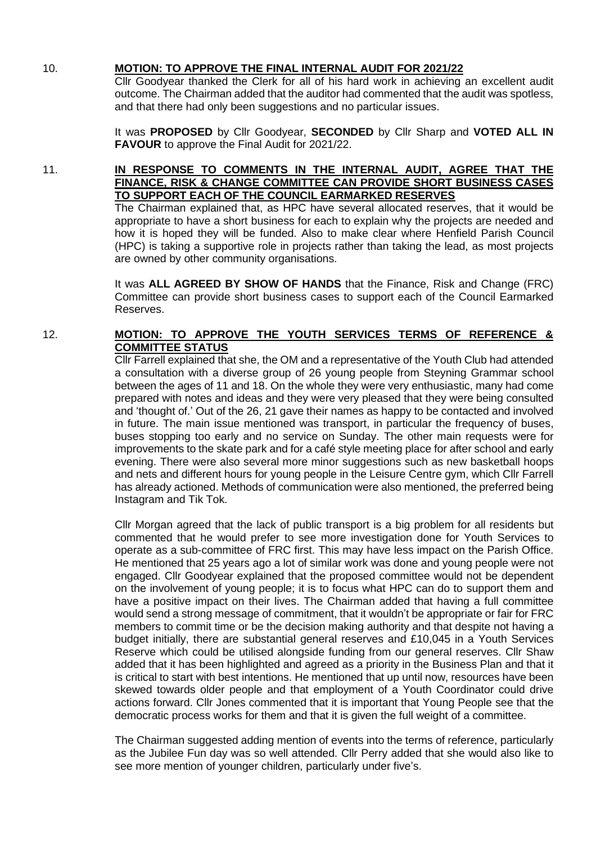## 10. **MOTION: TO APPROVE THE FINAL INTERNAL AUDIT FOR 2021/22**

Cllr Goodyear thanked the Clerk for all of his hard work in achieving an excellent audit outcome. The Chairman added that the auditor had commented that the audit was spotless, and that there had only been suggestions and no particular issues.

It was **PROPOSED** by Cllr Goodyear, **SECONDED** by Cllr Sharp and **VOTED ALL IN FAVOUR** to approve the Final Audit for 2021/22.

## 11. **IN RESPONSE TO COMMENTS IN THE INTERNAL AUDIT, AGREE THAT THE FINANCE, RISK & CHANGE COMMITTEE CAN PROVIDE SHORT BUSINESS CASES TO SUPPORT EACH OF THE COUNCIL EARMARKED RESERVES**

The Chairman explained that, as HPC have several allocated reserves, that it would be appropriate to have a short business for each to explain why the projects are needed and how it is hoped they will be funded. Also to make clear where Henfield Parish Council (HPC) is taking a supportive role in projects rather than taking the lead, as most projects are owned by other community organisations.

It was **ALL AGREED BY SHOW OF HANDS** that the Finance, Risk and Change (FRC) Committee can provide short business cases to support each of the Council Earmarked Reserves.

# 12. **MOTION: TO APPROVE THE YOUTH SERVICES TERMS OF REFERENCE & COMMITTEE STATUS**

Cllr Farrell explained that she, the OM and a representative of the Youth Club had attended a consultation with a diverse group of 26 young people from Steyning Grammar school between the ages of 11 and 18. On the whole they were very enthusiastic, many had come prepared with notes and ideas and they were very pleased that they were being consulted and 'thought of.' Out of the 26, 21 gave their names as happy to be contacted and involved in future. The main issue mentioned was transport, in particular the frequency of buses, buses stopping too early and no service on Sunday. The other main requests were for improvements to the skate park and for a café style meeting place for after school and early evening. There were also several more minor suggestions such as new basketball hoops and nets and different hours for young people in the Leisure Centre gym, which Cllr Farrell has already actioned. Methods of communication were also mentioned, the preferred being Instagram and Tik Tok.

Cllr Morgan agreed that the lack of public transport is a big problem for all residents but commented that he would prefer to see more investigation done for Youth Services to operate as a sub-committee of FRC first. This may have less impact on the Parish Office. He mentioned that 25 years ago a lot of similar work was done and young people were not engaged. Cllr Goodyear explained that the proposed committee would not be dependent on the involvement of young people; it is to focus what HPC can do to support them and have a positive impact on their lives. The Chairman added that having a full committee would send a strong message of commitment, that it wouldn't be appropriate or fair for FRC members to commit time or be the decision making authority and that despite not having a budget initially, there are substantial general reserves and £10,045 in a Youth Services Reserve which could be utilised alongside funding from our general reserves. Cllr Shaw added that it has been highlighted and agreed as a priority in the Business Plan and that it is critical to start with best intentions. He mentioned that up until now, resources have been skewed towards older people and that employment of a Youth Coordinator could drive actions forward. Cllr Jones commented that it is important that Young People see that the democratic process works for them and that it is given the full weight of a committee.

The Chairman suggested adding mention of events into the terms of reference, particularly as the Jubilee Fun day was so well attended. Cllr Perry added that she would also like to see more mention of younger children, particularly under five's.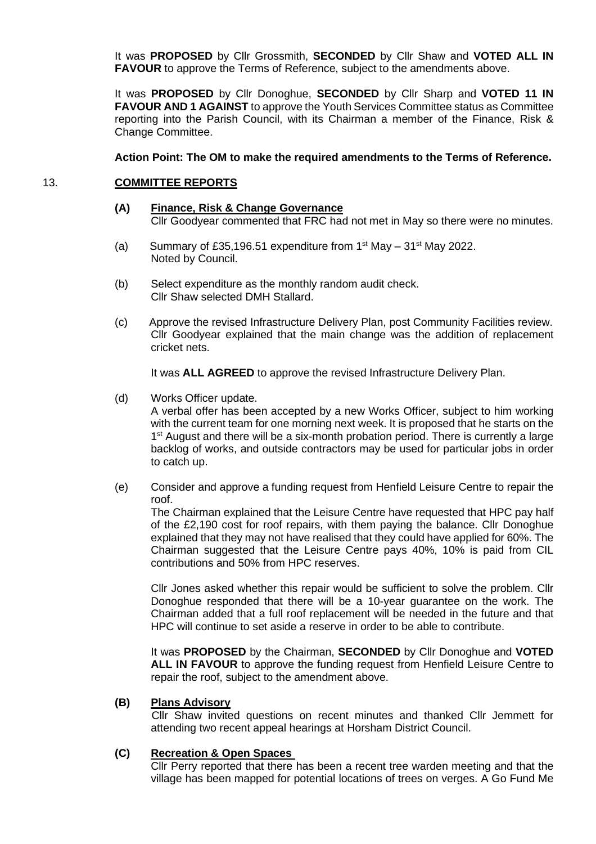It was **PROPOSED** by Cllr Grossmith, **SECONDED** by Cllr Shaw and **VOTED ALL IN FAVOUR** to approve the Terms of Reference, subject to the amendments above.

It was **PROPOSED** by Cllr Donoghue, **SECONDED** by Cllr Sharp and **VOTED 11 IN FAVOUR AND 1 AGAINST** to approve the Youth Services Committee status as Committee reporting into the Parish Council, with its Chairman a member of the Finance, Risk & Change Committee.

#### **Action Point: The OM to make the required amendments to the Terms of Reference.**

#### 13. **COMMITTEE REPORTS**

- **(A) Finance, Risk & Change Governance** Cllr Goodyear commented that FRC had not met in May so there were no minutes.
- (a) Summary of £35,196.51 expenditure from  $1<sup>st</sup>$  May  $-31<sup>st</sup>$  May 2022. Noted by Council.
- (b) Select expenditure as the monthly random audit check. Cllr Shaw selected DMH Stallard.
- (c) Approve the revised Infrastructure Delivery Plan, post Community Facilities review. Cllr Goodyear explained that the main change was the addition of replacement cricket nets.

It was **ALL AGREED** to approve the revised Infrastructure Delivery Plan.

(d) Works Officer update.

A verbal offer has been accepted by a new Works Officer, subject to him working with the current team for one morning next week. It is proposed that he starts on the 1<sup>st</sup> August and there will be a six-month probation period. There is currently a large backlog of works, and outside contractors may be used for particular jobs in order to catch up.

(e) Consider and approve a funding request from Henfield Leisure Centre to repair the roof.

The Chairman explained that the Leisure Centre have requested that HPC pay half of the £2,190 cost for roof repairs, with them paying the balance. Cllr Donoghue explained that they may not have realised that they could have applied for 60%. The Chairman suggested that the Leisure Centre pays 40%, 10% is paid from CIL contributions and 50% from HPC reserves.

Cllr Jones asked whether this repair would be sufficient to solve the problem. Cllr Donoghue responded that there will be a 10-year guarantee on the work. The Chairman added that a full roof replacement will be needed in the future and that HPC will continue to set aside a reserve in order to be able to contribute.

It was **PROPOSED** by the Chairman, **SECONDED** by Cllr Donoghue and **VOTED ALL IN FAVOUR** to approve the funding request from Henfield Leisure Centre to repair the roof, subject to the amendment above.

#### **(B) Plans Advisory**

Cllr Shaw invited questions on recent minutes and thanked Cllr Jemmett for attending two recent appeal hearings at Horsham District Council.

#### **(C) Recreation & Open Spaces**

Cllr Perry reported that there has been a recent tree warden meeting and that the village has been mapped for potential locations of trees on verges. A Go Fund Me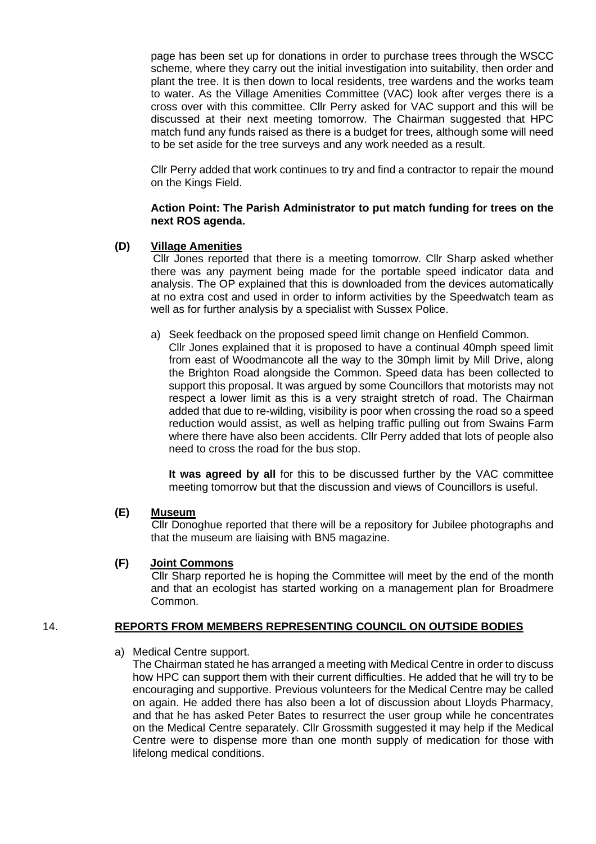page has been set up for donations in order to purchase trees through the WSCC scheme, where they carry out the initial investigation into suitability, then order and plant the tree. It is then down to local residents, tree wardens and the works team to water. As the Village Amenities Committee (VAC) look after verges there is a cross over with this committee. Cllr Perry asked for VAC support and this will be discussed at their next meeting tomorrow. The Chairman suggested that HPC match fund any funds raised as there is a budget for trees, although some will need to be set aside for the tree surveys and any work needed as a result.

Cllr Perry added that work continues to try and find a contractor to repair the mound on the Kings Field.

#### **Action Point: The Parish Administrator to put match funding for trees on the next ROS agenda.**

## **(D) Village Amenities**

Cllr Jones reported that there is a meeting tomorrow. Cllr Sharp asked whether there was any payment being made for the portable speed indicator data and analysis. The OP explained that this is downloaded from the devices automatically at no extra cost and used in order to inform activities by the Speedwatch team as well as for further analysis by a specialist with Sussex Police.

- a) Seek feedback on the proposed speed limit change on Henfield Common.
	- Cllr Jones explained that it is proposed to have a continual 40mph speed limit from east of Woodmancote all the way to the 30mph limit by Mill Drive, along the Brighton Road alongside the Common. Speed data has been collected to support this proposal. It was argued by some Councillors that motorists may not respect a lower limit as this is a very straight stretch of road. The Chairman added that due to re-wilding, visibility is poor when crossing the road so a speed reduction would assist, as well as helping traffic pulling out from Swains Farm where there have also been accidents. Cllr Perry added that lots of people also need to cross the road for the bus stop.

**It was agreed by all** for this to be discussed further by the VAC committee meeting tomorrow but that the discussion and views of Councillors is useful.

### **(E) Museum**

Cllr Donoghue reported that there will be a repository for Jubilee photographs and that the museum are liaising with BN5 magazine.

### **(F) Joint Commons**

Cllr Sharp reported he is hoping the Committee will meet by the end of the month and that an ecologist has started working on a management plan for Broadmere Common.

### 14. **REPORTS FROM MEMBERS REPRESENTING COUNCIL ON OUTSIDE BODIES**

### a) Medical Centre support.

The Chairman stated he has arranged a meeting with Medical Centre in order to discuss how HPC can support them with their current difficulties. He added that he will try to be encouraging and supportive. Previous volunteers for the Medical Centre may be called on again. He added there has also been a lot of discussion about Lloyds Pharmacy, and that he has asked Peter Bates to resurrect the user group while he concentrates on the Medical Centre separately. Cllr Grossmith suggested it may help if the Medical Centre were to dispense more than one month supply of medication for those with lifelong medical conditions.